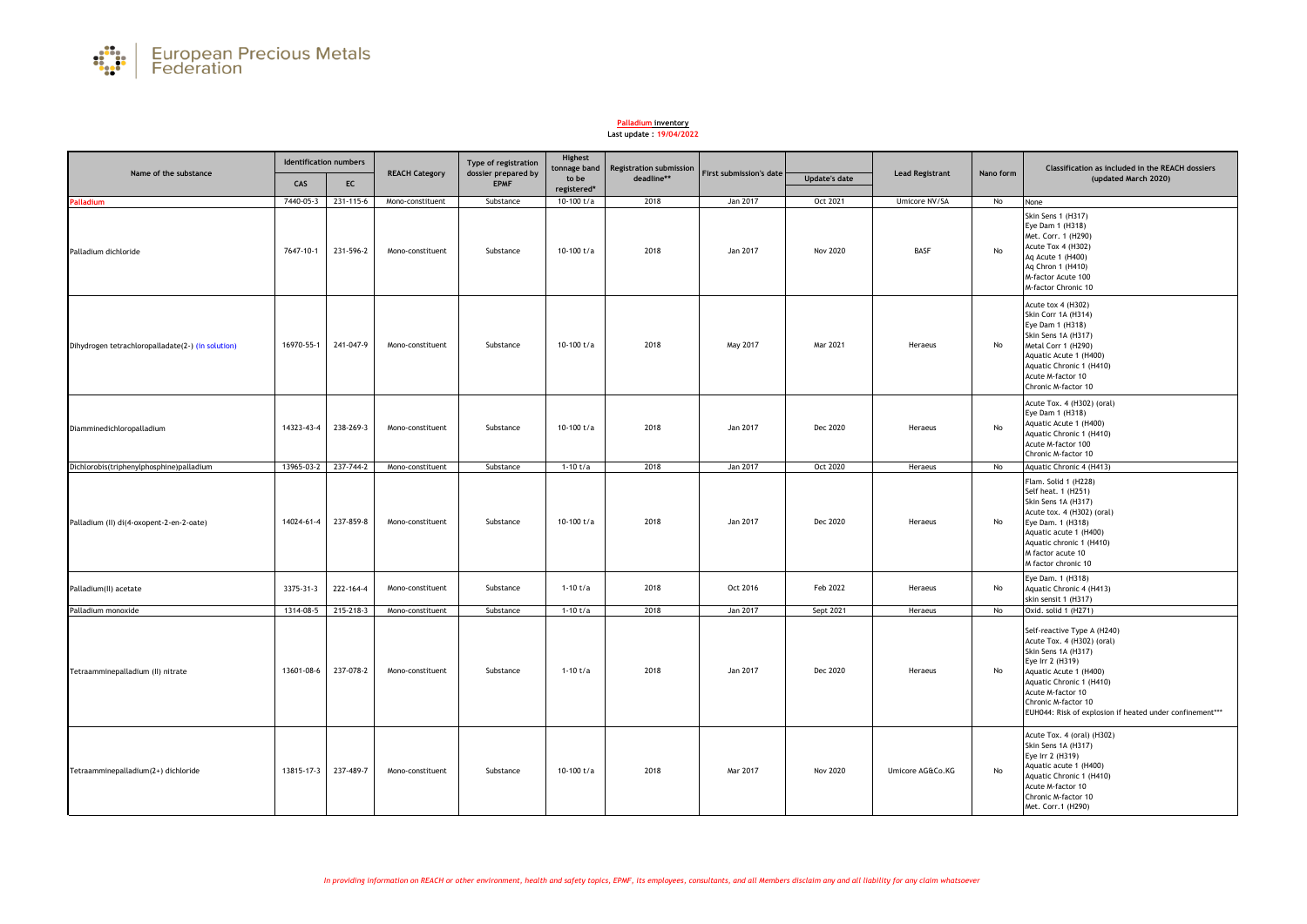

## **Palladium inventory**

## **Last update : 19/04/2022**

| Name of the substance                             | <b>Identification numbers</b> |                      |                       | Type of registration               | Highest<br>tonnage band | <b>Registration submission</b> |                         |                      |                        |           | Classification as included in the REACH dossiers                                                                                                                                                                                                                   |
|---------------------------------------------------|-------------------------------|----------------------|-----------------------|------------------------------------|-------------------------|--------------------------------|-------------------------|----------------------|------------------------|-----------|--------------------------------------------------------------------------------------------------------------------------------------------------------------------------------------------------------------------------------------------------------------------|
|                                                   | CAS                           | EC                   | <b>REACH Category</b> | dossier prepared by<br><b>EPMF</b> | to be<br>registered*    | deadline**                     | First submission's date | <b>Update's date</b> | <b>Lead Registrant</b> | Nano form | (updated March 2020)                                                                                                                                                                                                                                               |
| <b>Palladium</b>                                  | 7440-05-3                     | 231-115-6            | Mono-constituent      | Substance                          | 10-100 $t/a$            | 2018                           | Jan 2017                | Oct 2021             | Umicore NV/SA          | No        | None                                                                                                                                                                                                                                                               |
| Palladium dichloride                              | 7647-10-1                     | 231-596-2            | Mono-constituent      | Substance                          | 10-100 t/a              | 2018                           | Jan 2017                | <b>Nov 2020</b>      | <b>BASF</b>            | No        | <b>Skin Sens 1 (H317)</b><br>Eye Dam 1 (H318)<br>Met. Corr. 1 (H290)<br>Acute Tox 4 (H302)<br>Aq Acute 1 (H400)<br>Ag Chron 1 (H410)<br>M-factor Acute 100<br>M-factor Chronic 10                                                                                  |
| Dihydrogen tetrachloropalladate(2-) (in solution) | 16970-55-1                    | 241-047-9            | Mono-constituent      | Substance                          | 10-100 t/a              | 2018                           | May 2017                | Mar 2021             | Heraeus                | No        | Acute tox 4 (H302)<br>Skin Corr 1A (H314)<br>Eye Dam 1 (H318)<br>Skin Sens 1A (H317)<br>Metal Corr 1 (H290)<br>Aquatic Acute 1 (H400)<br>Aquatic Chronic 1 (H410)<br>Acute M-factor 10<br>Chronic M-factor 10                                                      |
| Diamminedichloropalladium                         | 14323-43-4                    | 238-269-3            | Mono-constituent      | Substance                          | 10-100 t/a              | 2018                           | Jan 2017                | Dec 2020             | Heraeus                | No        | Acute Tox. 4 (H302) (oral)<br>Eye Dam 1 (H318)<br>Aquatic Acute 1 (H400)<br>Aquatic Chronic 1 (H410)<br>Acute M-factor 100<br>Chronic M-factor 10                                                                                                                  |
| Dichlorobis(triphenylphosphine)palladium          |                               | 13965-03-2 237-744-2 | Mono-constituent      | Substance                          | $1-10$ t/a              | 2018                           | Jan 2017                | Oct 2020             | Heraeus                | No        | Aquatic Chronic 4 (H413)                                                                                                                                                                                                                                           |
| Palladium (II) di(4-oxopent-2-en-2-oate)          | 14024-61-4                    | 237-859-8            | Mono-constituent      | Substance                          | 10-100 t/a              | 2018                           | Jan 2017                | Dec 2020             | Heraeus                | No        | Flam. Solid 1 (H228)<br>Self heat. 1 (H251)<br>Skin Sens 1A (H317)<br>Acute tox. 4 (H302) (oral)<br>Eye Dam. 1 (H318)<br>Aquatic acute 1 (H400)<br>Aquatic chronic 1 (H410)<br>M factor acute 10<br>M factor chronic 10                                            |
| Palladium(II) acetate                             | 3375-31-3                     | 222-164-4            | Mono-constituent      | Substance                          | $1-10$ t/a              | 2018                           | Oct 2016                | Feb 2022             | Heraeus                | No        | Eye Dam. 1 (H318)<br>Aquatic Chronic 4 (H413)<br>skin sensit 1 (H317)                                                                                                                                                                                              |
| Palladium monoxide                                | 1314-08-5                     | 215-218-3            | Mono-constituent      | Substance                          | $1-10$ t/a              | 2018                           | Jan 2017                | Sept 2021            | Heraeus                | No        | Oxid. solid 1 (H271)                                                                                                                                                                                                                                               |
| Tetraamminepalladium (II) nitrate                 | 13601-08-6                    | 237-078-2            | Mono-constituent      | Substance                          | $1 - 10t/a$             | 2018                           | Jan 2017                | Dec 2020             | Heraeus                | No        | Self-reactive Type A (H240)<br>Acute Tox. 4 (H302) (oral)<br>Skin Sens 1A (H317)<br>Eye Irr 2 (H319)<br>Aquatic Acute 1 (H400)<br>Aquatic Chronic 1 (H410)<br>Acute M-factor 10<br>Chronic M-factor 10<br>EUH044: Risk of explosion if heated under confinement*** |
| Tetraamminepalladium(2+) dichloride               | 13815-17-3                    | 237-489-7            | Mono-constituent      | Substance                          | 10-100 t/a              | 2018                           | Mar 2017                | <b>Nov 2020</b>      | Umicore AG&Co.KG       | No        | Acute Tox. 4 (oral) (H302)<br>Skin Sens 1A (H317)<br>Eye Irr 2 (H319)<br>Aquatic acute 1 (H400)<br>Aquatic Chronic 1 (H410)<br>Acute M-factor 10<br>Chronic M-factor 10<br>Met. Corr.1 (H290)                                                                      |